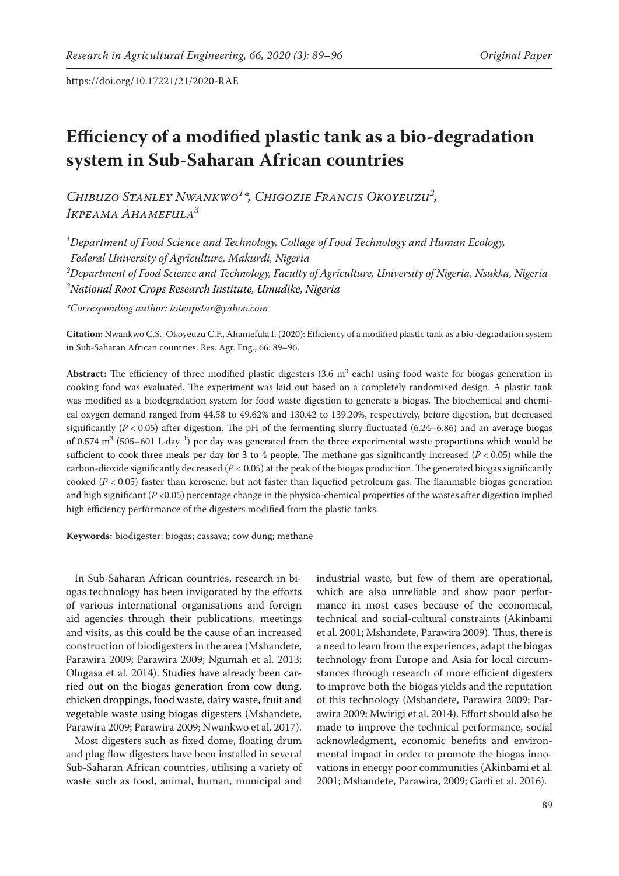# **Efficiency of a modified plastic tank as a bio-degradation system in Sub-Saharan African countries**

*Chibuzo Stanley Nwankwo1 \*, Chigozie Francis Okoyeuzu2 , Ikpeama Ahamefula3*

*1 Department of Food Science and Technology, Collage of Food Technology and Human Ecology,*

*Federal University of Agriculture, Makurdi, Nigeria*

*2 Department of Food Science and Technology, Faculty of Agriculture, University of Nigeria, Nsukka, Nigeria*

*3 National Root Crops Research Institute, Umudike, Nigeria*

*\*Corresponding author: toteupstar@yahoo.com*

**Citation:** Nwankwo C.S., Okoyeuzu C.F., Ahamefula I. (2020): Efficiency of a modified plastic tank as a bio-degradation system in Sub-Saharan African countries. Res. Agr. Eng., 66: 89–96.

Abstract: The efficiency of three modified plastic digesters (3.6 m<sup>3</sup> each) using food waste for biogas generation in cooking food was evaluated. The experiment was laid out based on a completely randomised design. A plastic tank was modified as a biodegradation system for food waste digestion to generate a biogas. The biochemical and chemical oxygen demand ranged from 44.58 to 49.62% and 130.42 to 139.20%, respectively, before digestion, but decreased significantly  $(P < 0.05)$  after digestion. The pH of the fermenting slurry fluctuated  $(6.24-6.86)$  and an average biogas of 0.574 m<sup>3</sup> (505–601 L·day<sup>-1</sup>) per day was generated from the three experimental waste proportions which would be sufficient to cook three meals per day for 3 to 4 people. The methane gas significantly increased  $(P < 0.05)$  while the carbon-dioxide significantly decreased ( $P < 0.05$ ) at the peak of the biogas production. The generated biogas significantly cooked (*P* < 0.05) faster than kerosene, but not faster than liquefied petroleum gas. The flammable biogas generation and high significant  $(P < 0.05)$  percentage change in the physico-chemical properties of the wastes after digestion implied high efficiency performance of the digesters modified from the plastic tanks.

**Keywords:** biodigester; biogas; cassava; cow dung; methane

In Sub-Saharan African countries, research in biogas technology has been invigorated by the efforts of various international organisations and foreign aid agencies through their publications, meetings and visits, as this could be the cause of an increased construction of biodigesters in the area (Mshandete, Parawira 2009; Parawira 2009; Ngumah et al. 2013; Olugasa et al. 2014). Studies have already been carried out on the biogas generation from cow dung, chicken droppings, food waste, dairy waste, fruit and vegetable waste using biogas digesters (Mshandete, Parawira 2009; Parawira 2009; Nwankwo et al. 2017).

Most digesters such as fixed dome, floating drum and plug flow digesters have been installed in several Sub-Saharan African countries, utilising a variety of waste such as food, animal, human, municipal and industrial waste, but few of them are operational, which are also unreliable and show poor performance in most cases because of the economical, technical and social-cultural constraints (Akinbami et al. 2001; Mshandete, Parawira 2009). Thus, there is a need to learn from the experiences, adapt the biogas technology from Europe and Asia for local circumstances through research of more efficient digesters to improve both the biogas yields and the reputation of this technology (Mshandete, Parawira 2009; Parawira 2009; Mwirigi et al. 2014). Effort should also be made to improve the technical performance, social acknowledgment, economic benefits and environmental impact in order to promote the biogas innovations in energy poor communities (Akinbami et al. 2001; Mshandete, Parawira, 2009; Garfi et al. 2016).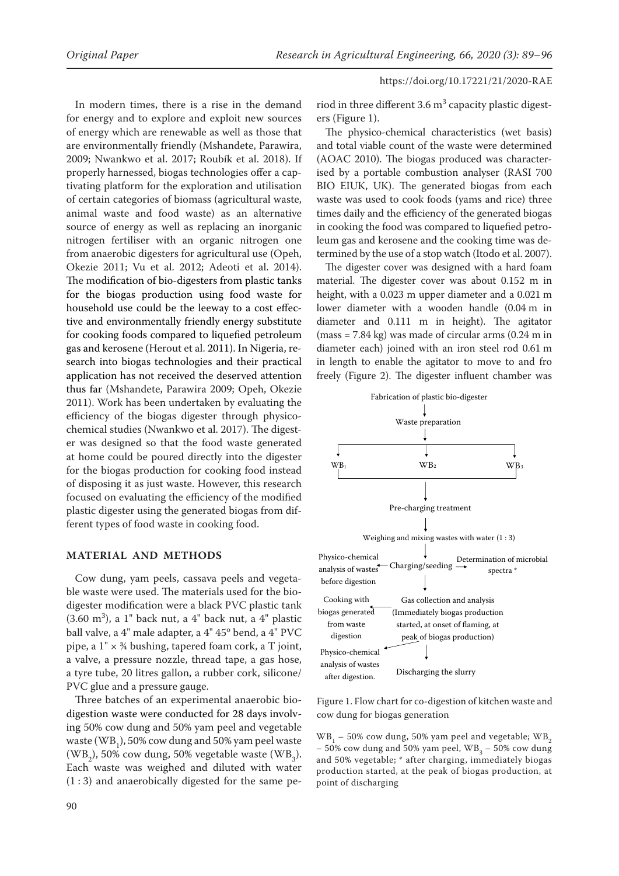In modern times, there is a rise in the demand for energy and to explore and exploit new sources of energy which are renewable as well as those that are environmentally friendly (Mshandete, Parawira, 2009; Nwankwo et al. 2017; Roubík et al. 2018). If properly harnessed, biogas technologies offer a captivating platform for the exploration and utilisation of certain categories of biomass (agricultural waste, animal waste and food waste) as an alternative source of energy as well as replacing an inorganic nitrogen fertiliser with an organic nitrogen one from anaerobic digesters for agricultural use (Opeh, Okezie 2011; Vu et al. 2012; Adeoti et al. 2014). The modification of bio-digesters from plastic tanks for the biogas production using food waste for household use could be the leeway to a cost effective and environmentally friendly energy substitute for cooking foods compared to liquefied petroleum gas and kerosene (Herout et al. 2011). In Nigeria, research into biogas technologies and their practical application has not received the deserved attention thus far (Mshandete, Parawira 2009; Opeh, Okezie 2011). Work has been undertaken by evaluating the efficiency of the biogas digester through physicochemical studies (Nwankwo et al. 2017). The digester was designed so that the food waste generated at home could be poured directly into the digester for the biogas production for cooking food instead of disposing it as just waste. However, this research focused on evaluating the efficiency of the modified plastic digester using the generated biogas from different types of food waste in cooking food.

### **MATERIAL AND METHODS**

Cow dung, yam peels, cassava peels and vegetable waste were used. The materials used for the biodigester modification were a black PVC plastic tank  $(3.60 \text{ m}^3)$ , a 1" back nut, a 4" back nut, a 4" plastic ball valve, a 4" male adapter, a 4" 45° bend, a 4" PVC pipe, a  $1'' \times \frac{3}{4}$  bushing, tapered foam cork, a T joint, a valve, a pressure nozzle, thread tape, a gas hose, a tyre tube, 20 litres gallon, a rubber cork, silicone/ PVC glue and a pressure gauge.

Three batches of an experimental anaerobic biodigestion waste were conducted for 28 days involving 50% cow dung and 50% yam peel and vegetable waste (WB<sub>1</sub>), 50% cow dung and 50% yam peel waste  $(\mathrm{WB}_{2}), 50\%$  cow dung, 50% vegetable waste  $(\mathrm{WB}_{3}).$ Each waste was weighed and diluted with water  $(1:3)$  and anaerobically digested for the same pe-

riod in three different 3.6  $\text{m}^{3}$  capacity plastic digesters (Figure 1).

The physico-chemical characteristics (wet basis) and total viable count of the waste were determined (AOAC 2010). The biogas produced was characterised by a portable combustion analyser (RASI 700 BIO EIUK, UK). The generated biogas from each waste was used to cook foods (yams and rice) three times daily and the efficiency of the generated biogas in cooking the food was compared to liquefied petroleum gas and kerosene and the cooking time was determined by the use of a stop watch (Itodo et al. 2007).

The digester cover was designed with a hard foam material. The digester cover was about 0.152 m in height, with a 0.023 m upper diameter and a 0.021 m lower diameter with a wooden handle (0.04 m in diameter and 0.111 m in height). The agitator  $(mass = 7.84 \text{ kg})$  was made of circular arms  $(0.24 \text{ m in})$ diameter each) joined with an iron steel rod 0.61 m in length to enable the agitator to move to and fro freely (Figure 2). The digester influent chamber was



Figure 1. Flow chart for co-digestion of kitchen waste and cow dung for biogas generation

 $WB_{1}$  – 50% cow dung, 50% yam peel and vegetable;  $WB_{2}$  $-50\%$  cow dung and 50% yam peel,  $WB_{3} - 50\%$  cow dung and 50% vegetable; \* after charging, immediately biogas production started, at the peak of biogas production, at point of discharging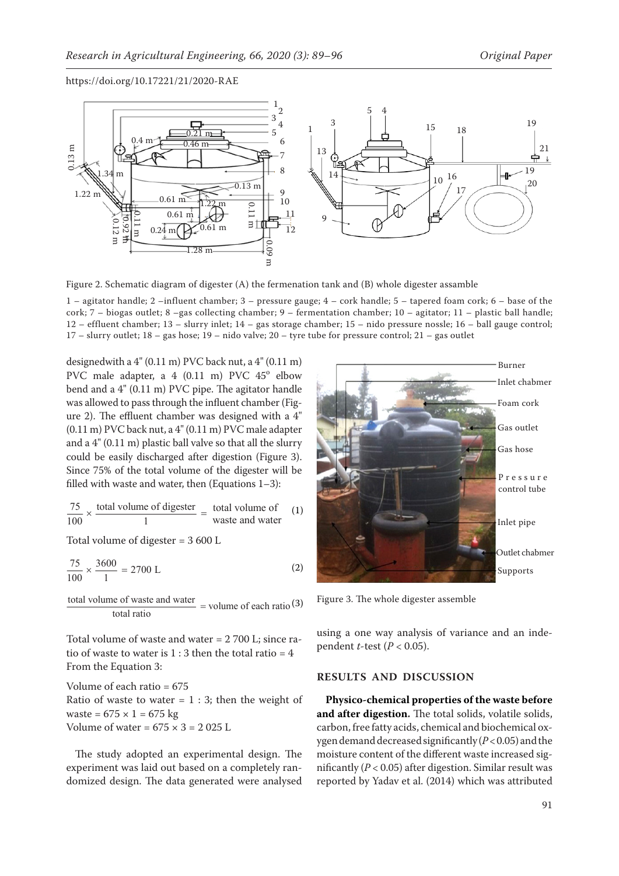

Figure 2. Schematic diagram of digester (A) the fermenation tank and (B) whole digester assamble

1 – agitator handle; 2 –influent chamber; 3 – pressure gauge; 4 – cork handle; 5 – tapered foam cork; 6 – base of the cork; 7 – biogas outlet; 8 –gas collecting chamber; 9 – fermentation chamber; 10 – agitator; 11 – plastic ball handle; 12 – effluent chamber; 13 – slurry inlet; 14 – gas storage chamber; 15 – nido pressure nossle; 16 – ball gauge control; 17 – slurry outlet; 18 – gas hose; 19 – nido valve; 20 – tyre tube for pressure control; 21 – gas outlet

designedwith a  $4$ " (0.11 m) PVC back nut, a  $4$ " (0.11 m) PVC male adapter, a 4 (0.11 m) PVC 45° elbow bend and a 4" (0.11 m) PVC pipe. The agitator handle was allowed to pass through the influent chamber (Figure 2). The effluent chamber was designed with a 4" (0.11 m) PVC back nut, a 4" (0.11 m) PVC male adapter and a 4" (0.11 m) plastic ball valve so that all the slurry could be easily discharged after digestion (Figure 3). Since 75% of the total volume of the digester will be filled with waste and water, then (Equations 1–3):

$$
\frac{75}{100} \times \frac{\text{total volume of digester}}{1} = \frac{\text{total volume of}}{\text{waste and water}}
$$
 (1)

Total volume of digester = 3 600 L

$$
\frac{75}{100} \times \frac{3600}{1} = 2700 \text{ L}
$$
 (2)

total volume of waste and water  $=$  volume of each ratio (3) total volume of waste and water

Total volume of waste and water = 2 700 L; since ratio of waste to water is  $1:3$  then the total ratio =  $4$ From the Equation 3:

Volume of each ratio = 675 Ratio of waste to water  $= 1 : 3$ ; then the weight of waste =  $675 \times 1 = 675$  kg Volume of water =  $675 \times 3 = 2025$  L

The study adopted an experimental design. The experiment was laid out based on a completely randomized design. The data generated were analysed



Figure 3. The whole digester assemble

using a one way analysis of variance and an independent *t*-test (*P* < 0.05).

#### **RESULTS AND DISCUSSION**

**Physico-chemical properties of the waste before and after digestion.** The total solids, volatile solids, carbon, free fatty acids, chemical and biochemical oxygen demand decreased significantly (*P* < 0.05) and the moisture content of the different waste increased significantly ( $P < 0.05$ ) after digestion. Similar result was reported by Yadav et al. (2014) which was attributed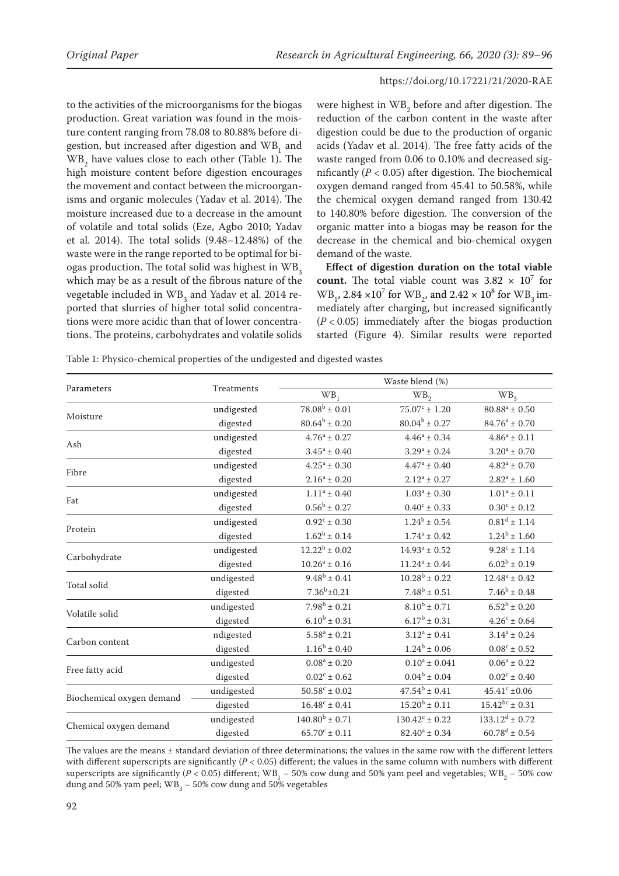to the activities of the microorganisms for the biogas production. Great variation was found in the moisture content ranging from 78.08 to 80.88% before digestion, but increased after digestion and  $WB_{1}$  and  $WB_{2}$  have values close to each other (Table 1). The high moisture content before digestion encourages the movement and contact between the microorganisms and organic molecules (Yadav et al. 2014). The moisture increased due to a decrease in the amount of volatile and total solids (Eze, Agbo 2010; Yadav et al. 2014). The total solids (9.48–12.48%) of the waste were in the range reported to be optimal for biogas production. The total solid was highest in WB<sub>2</sub> which may be as a result of the fibrous nature of the vegetable included in  $WB_3$  and Yadav et al. 2014 reported that slurries of higher total solid concentrations were more acidic than that of lower concentrations. The proteins, carbohydrates and volatile solids

were highest in  $WB_2$  before and after digestion. The reduction of the carbon content in the waste after digestion could be due to the production of organic acids (Yadav et al. 2014). The free fatty acids of the waste ranged from 0.06 to 0.10% and decreased significantly  $(P < 0.05)$  after digestion. The biochemical oxygen demand ranged from 45.41 to 50.58%, while the chemical oxygen demand ranged from 130.42 to 140.80% before digestion. The conversion of the organic matter into a biogas may be reason for the decrease in the chemical and bio-chemical oxygen demand of the waste.

**Effect of digestion duration on the total viable count.** The total viable count was  $3.82 \times 10^7$  for  $WB_{1}$ , 2.84 ×10<sup>7</sup> for WB<sub>2</sub>, and 2.42 × 10<sup>8</sup> for WB<sub>3</sub> immediately after charging, but increased significantly (*P* < 0.05) immediately after the biogas production started (Figure 4). Similar results were reported

Table 1: Physico-chemical properties of the undigested and digested wastes

| Parameters                |            | Waste blend (%)          |                               |                              |  |  |  |
|---------------------------|------------|--------------------------|-------------------------------|------------------------------|--|--|--|
|                           | Treatments | WB <sub>1</sub>          | WB <sub>2</sub>               | WB <sub>3</sub>              |  |  |  |
|                           | undigested | $78.08^b \pm 0.01$       | $75.07^{\circ} \pm 1.20$      | $80.88^a \pm 0.50$           |  |  |  |
| Moisture                  | digested   | $80.64^b \pm 0.20$       | $80.04^b \pm 0.27$            | $84.76^a \pm 0.70$           |  |  |  |
| Ash                       | undigested | $4.76^a \pm 0.27$        | $4.46^a \pm 0.34$             | $4.86^a \pm 0.11$            |  |  |  |
|                           | digested   | $3.45^a \pm 0.40$        | $3.29^a \pm 0.24$             | $3.20^a \pm 0.70$            |  |  |  |
| Fibre                     | undigested | $4.25^a \pm 0.30$        | $4.47^a \pm 0.40$             | $4.82^{\mathrm{a}} \pm 0.70$ |  |  |  |
|                           | digested   | $2.16^a \pm 0.20$        | $2.12^a \pm 0.27$             | $2.82^a \pm 1.60$            |  |  |  |
| Fat                       | undigested | $1.11^a \pm 0.40$        | $1.03^a \pm 0.30$             | $1.01^a \pm 0.11$            |  |  |  |
|                           | digested   | $0.56^{\rm b} \pm 0.27$  | $0.40^{\circ} \pm 0.33$       | $0.30^{\circ} \pm 0.12$      |  |  |  |
| Protein                   | undigested | $0.92^{\circ} \pm 0.30$  | $1.24^b \pm 0.54$             | $0.81^d \pm 1.14$            |  |  |  |
|                           | digested   | $1.62^b \pm 0.14$        | $1.74^a \pm 0.42$             | $1.24^b \pm 1.60$            |  |  |  |
|                           | undigested | $12.22^b \pm 0.02$       | $14.93^a \pm 0.52$            | $9.28^{\circ}$ ± 1.14        |  |  |  |
| Carbohydrate              | digested   | $10.26^a \pm 0.16$       | $11.24^a \pm 0.44$            | $6.02^b \pm 0.19$            |  |  |  |
| Total solid               | undigested | $9.48^b \pm 0.41$        | $10.28^b \pm 0.22$            | $12.48^a \pm 0.42$           |  |  |  |
|                           | digested   | $7.36^b \pm 0.21$        | $7.48^b \pm 0.51$             | $7.46^b \pm 0.48$            |  |  |  |
| Volatile solid            | undigested | $7.98^b \pm 0.21$        | $8.10^{b} \pm 0.71$           | $6.52^b \pm 0.20$            |  |  |  |
|                           | digested   | $6.10^b \pm 0.31$        | $6.17^b \pm 0.31$             | $4.26^c \pm 0.64$            |  |  |  |
| Carbon content            | ndigested  | $5.58^{\rm a} \pm 0.21$  | $3.12^a \pm 0.41$             | $3.14^a \pm 0.24$            |  |  |  |
|                           | digested   | $1.16^b \pm 0.40$        | $1.24^b \pm 0.06$             | $0.08^{\rm c} \pm 0.52$      |  |  |  |
| Free fatty acid           | undigested | $0.08^a \pm 0.20$        | $0.10^a \pm 0.041$            | $0.06^a \pm 0.22$            |  |  |  |
|                           | digested   | $0.02^{\circ} \pm 0.62$  | $0.04^b \pm 0.04$             | $0.02^{\circ} \pm 0.40$      |  |  |  |
| Biochemical oxygen demand | undigested | $50.58^{\circ} \pm 0.02$ | $47.54^{\mathrm{b}} \pm 0.41$ | $45.41^{\circ} \pm 0.06$     |  |  |  |
|                           | digested   | $16.48^c \pm 0.41$       | $15.20^b \pm 0.11$            | $15.42^{bc} \pm 0.31$        |  |  |  |
|                           | undigested | $140.80^{b} \pm 0.71$    | $130.42^{\circ} \pm 0.22$     | $133.12^d \pm 0.72$          |  |  |  |
| Chemical oxygen demand    | digested   | $65.70^{\circ} \pm 0.11$ | $82.40^a \pm 0.34$            | $60.78^d \pm 0.54$           |  |  |  |

The values are the means  $\pm$  standard deviation of three determinations; the values in the same row with the different letters with different superscripts are significantly  $(P < 0.05)$  different; the values in the same column with numbers with different superscripts are significantly ( $P < 0.05$ ) different; WB<sub>1</sub> – 50% cow dung and 50% yam peel and vegetables; WB<sub>2</sub> – 50% cow dung and 50% yam peel;  $\mathbb{W}\text{B}_3^{\phantom{1}}$  – 50% cow dung and 50% vegetables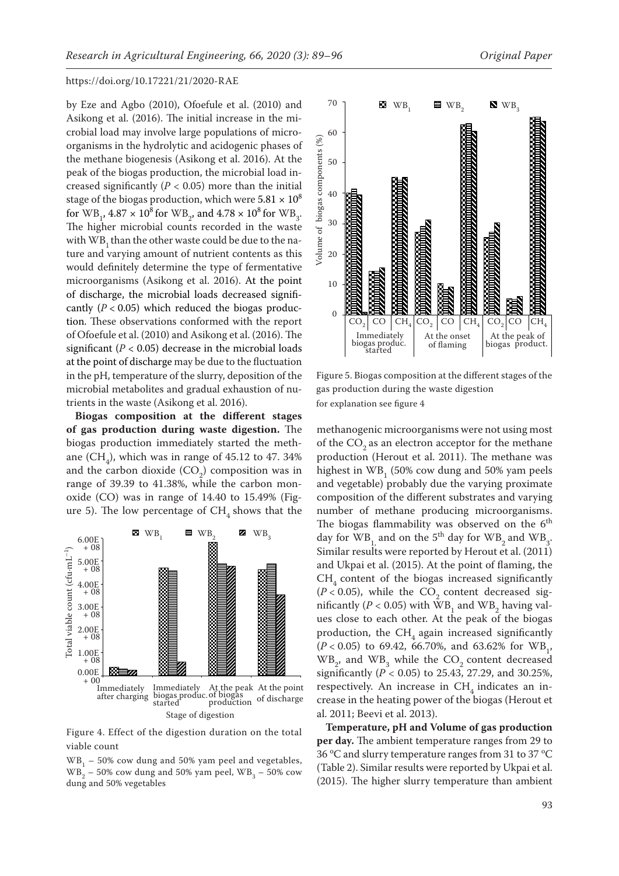by Eze and Agbo (2010), Ofoefule et al. (2010) and Asikong et al. (2016). The initial increase in the microbial load may involve large populations of microorganisms in the hydrolytic and acidogenic phases of the methane biogenesis (Asikong et al. 2016). At the peak of the biogas production, the microbial load increased significantly ( $P < 0.05$ ) more than the initial stage of the biogas production, which were  $5.81 \times 10^8$ for WB<sub>1</sub>,  $4.87 \times 10^8$  for WB<sub>2</sub>, and  $4.78 \times 10^8$  for WB<sub>3</sub>. The higher microbial counts recorded in the waste with WB<sub>1</sub> than the other waste could be due to the nature and varying amount of nutrient contents as this would definitely determine the type of fermentative microorganisms (Asikong et al. 2016). At the point of discharge, the microbial loads decreased significantly  $(P < 0.05)$  which reduced the biogas production. These observations conformed with the report of Ofoefule et al. (2010) and Asikong et al. (2016). The significant  $(P < 0.05)$  decrease in the microbial loads at the point of discharge may be due to the fluctuation in the pH, temperature of the slurry, deposition of the microbial metabolites and gradual exhaustion of nutrients in the waste (Asikong et al. 2016).

**Biogas composition at the different stages of gas production during waste digestion.** The biogas production immediately started the methane  $(CH_4)$ , which was in range of 45.12 to 47. 34% and the carbon dioxide  $(CO_2)$  composition was in range of 39.39 to 41.38%, while the carbon monoxide (CO) was in range of 14.40 to 15.49% (Figure 5). The low percentage of  $CH<sub>4</sub>$  shows that the



Figure 4. Effect of the digestion duration on the total  $\overline{\phantom{a}}$ viable count and performance of the per-

 $WB_{1}$  – 50% cow dung and 50% yam peel and vegetables,  $WB_2 - 50\%$  cow dung and 50% yam peel,  $WB_3 - 50\%$  cow dung and 50% vegetables



for explanation see figure 4 Figure 5. Biogas composition at the different stages of the gas production during the waste digestion

methanogenic microorganisms were not using most of the  $CO<sub>2</sub>$  as an electron acceptor for the methane production (Herout et al. 2011). The methane was highest in  $WB_{1}$  (50% cow dung and 50% yam peels and vegetable) probably due the varying proximate composition of the different substrates and varying number of methane producing microorganisms. The biogas flammability was observed on the  $6<sup>th</sup>$ day for  $WB_{1}$ , and on the 5<sup>th</sup> day for  $WB_{2}$  and  $WB_{3}$ . Similar results were reported by Herout et al. (2011) and Ukpai et al. (2015). At the point of flaming, the  $CH<sub>4</sub>$  content of the biogas increased significantly  $(P < 0.05)$ , while the CO<sub>2</sub> content decreased significantly ( $P < 0.05$ ) with WB<sub>1</sub> and WB<sub>2</sub> having values close to each other. At the peak of the biogas production, the  $CH<sub>4</sub>$  again increased significantly  $(P < 0.05)$  to 69.42, 66.70%, and 63.62% for WB<sub>1</sub>,  $WB_{2}$  and  $WB_{3}$  while the  $CO_{2}$  content decreased significantly (*P* < 0.05) to 25.43, 27.29, and 30.25%, respectively. An increase in  $CH<sub>4</sub>$  indicates an increase in the heating power of the biogas (Herout et al. 2011; Beevi et al. 2013).

**Temperature, pH and Volume of gas production per day.** The ambient temperature ranges from 29 to  $36\,^{\rm o}{\rm C}$  and slurry temperature ranges from 31 to 37  $^{\rm o}{\rm C}$ (Table 2). Similar results were reported by Ukpai et al. (2015). The higher slurry temperature than ambient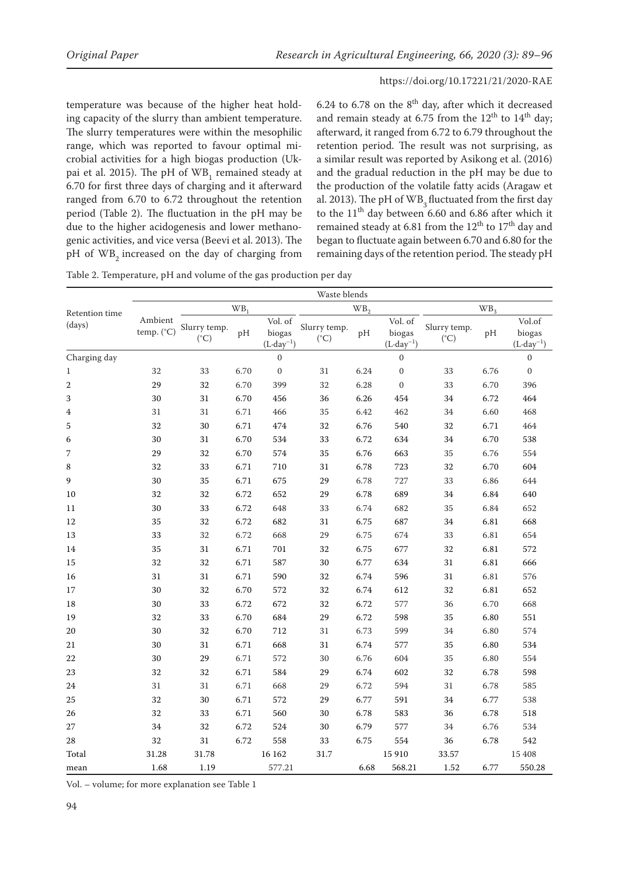temperature was because of the higher heat holding capacity of the slurry than ambient temperature. The slurry temperatures were within the mesophilic range, which was reported to favour optimal microbial activities for a high biogas production (Ukpai et al. 2015). The pH of  $WB<sub>1</sub>$  remained steady at 6.70 for first three days of charging and it afterward ranged from 6.70 to 6.72 throughout the retention period (Table 2). The fluctuation in the pH may be due to the higher acidogenesis and lower methanogenic activities, and vice versa (Beevi et al. 2013). The pH of WB<sub>2</sub> increased on the day of charging from

6.24 to 6.78 on the  $8<sup>th</sup>$  day, after which it decreased and remain steady at 6.75 from the  $12<sup>th</sup>$  to  $14<sup>th</sup>$  day; afterward, it ranged from 6.72 to 6.79 throughout the retention period. The result was not surprising, as a similar result was reported by Asikong et al. (2016) and the gradual reduction in the pH may be due to the production of the volatile fatty acids (Aragaw et al. 2013). The pH of  $WB_{3}$  fluctuated from the first day to the  $11<sup>th</sup>$  day between 6.60 and 6.86 after which it remained steady at 6.81 from the  $12^{th}$  to  $17^{th}$  day and began to fluctuate again between 6.70 and 6.80 for the remaining days of the retention period. The steady pH

Table 2. Temperature, pH and volume of the gas production per day

|                          | Waste blends                   |                               |      |                                           |                               |      |                                           |                               |      |                                          |
|--------------------------|--------------------------------|-------------------------------|------|-------------------------------------------|-------------------------------|------|-------------------------------------------|-------------------------------|------|------------------------------------------|
| Retention time<br>(days) | WB <sub>1</sub>                |                               |      |                                           | WB <sub>2</sub>               |      |                                           | WB <sub>3</sub>               |      |                                          |
|                          | Ambient<br>temp. $(^{\circ}C)$ | Slurry temp.<br>$(^{\circ}C)$ | pН   | Vol. of<br>biogas<br>$(L \cdot day^{-1})$ | Slurry temp.<br>$(^{\circ}C)$ | pH   | Vol. of<br>biogas<br>$(L \cdot day^{-1})$ | Slurry temp.<br>$(^{\circ}C)$ | pH   | Vol.of<br>biogas<br>$(L \cdot day^{-1})$ |
| Charging day             |                                |                               |      | $\boldsymbol{0}$                          |                               |      | $\mathbf{0}$                              |                               |      | $\boldsymbol{0}$                         |
| $\mathbf{1}$             | 32                             | 33                            | 6.70 | $\boldsymbol{0}$                          | 31                            | 6.24 | $\boldsymbol{0}$                          | 33                            | 6.76 | $\boldsymbol{0}$                         |
| $\overline{2}$           | 29                             | 32                            | 6.70 | 399                                       | 32                            | 6.28 | $\boldsymbol{0}$                          | 33                            | 6.70 | 396                                      |
| 3                        | 30                             | 31                            | 6.70 | 456                                       | 36                            | 6.26 | 454                                       | 34                            | 6.72 | 464                                      |
| 4                        | 31                             | 31                            | 6.71 | 466                                       | 35                            | 6.42 | 462                                       | 34                            | 6.60 | 468                                      |
| 5                        | 32                             | 30                            | 6.71 | 474                                       | 32                            | 6.76 | 540                                       | 32                            | 6.71 | 464                                      |
| 6                        | 30                             | 31                            | 6.70 | 534                                       | 33                            | 6.72 | 634                                       | 34                            | 6.70 | 538                                      |
| 7                        | 29                             | 32                            | 6.70 | 574                                       | 35                            | 6.76 | 663                                       | 35                            | 6.76 | 554                                      |
| 8                        | 32                             | 33                            | 6.71 | 710                                       | 31                            | 6.78 | 723                                       | 32                            | 6.70 | 604                                      |
| 9                        | 30                             | 35                            | 6.71 | 675                                       | 29                            | 6.78 | 727                                       | 33                            | 6.86 | 644                                      |
| 10                       | 32                             | 32                            | 6.72 | 652                                       | 29                            | 6.78 | 689                                       | 34                            | 6.84 | 640                                      |
| 11                       | 30                             | 33                            | 6.72 | 648                                       | 33                            | 6.74 | 682                                       | 35                            | 6.84 | 652                                      |
| 12                       | 35                             | 32                            | 6.72 | 682                                       | 31                            | 6.75 | 687                                       | 34                            | 6.81 | 668                                      |
| 13                       | 33                             | 32                            | 6.72 | 668                                       | 29                            | 6.75 | 674                                       | 33                            | 6.81 | 654                                      |
| 14                       | 35                             | 31                            | 6.71 | 701                                       | 32                            | 6.75 | 677                                       | 32                            | 6.81 | 572                                      |
| 15                       | 32                             | 32                            | 6.71 | 587                                       | 30                            | 6.77 | 634                                       | 31                            | 6.81 | 666                                      |
| 16                       | 31                             | 31                            | 6.71 | 590                                       | 32                            | 6.74 | 596                                       | 31                            | 6.81 | 576                                      |
| 17                       | 30                             | 32                            | 6.70 | 572                                       | 32                            | 6.74 | 612                                       | 32                            | 6.81 | 652                                      |
| 18                       | 30                             | 33                            | 6.72 | 672                                       | 32                            | 6.72 | 577                                       | 36                            | 6.70 | 668                                      |
| 19                       | 32                             | 33                            | 6.70 | 684                                       | 29                            | 6.72 | 598                                       | 35                            | 6.80 | 551                                      |
| $20\,$                   | 30                             | 32                            | 6.70 | 712                                       | $31\,$                        | 6.73 | 599                                       | 34                            | 6.80 | 574                                      |
| 21                       | 30                             | 31                            | 6.71 | 668                                       | 31                            | 6.74 | 577                                       | 35                            | 6.80 | 534                                      |
| 22                       | 30                             | 29                            | 6.71 | 572                                       | 30                            | 6.76 | 604                                       | 35                            | 6.80 | 554                                      |
| 23                       | 32                             | 32                            | 6.71 | 584                                       | 29                            | 6.74 | 602                                       | 32                            | 6.78 | 598                                      |
| 24                       | 31                             | 31                            | 6.71 | 668                                       | 29                            | 6.72 | 594                                       | 31                            | 6.78 | 585                                      |
| 25                       | 32                             | 30                            | 6.71 | 572                                       | 29                            | 6.77 | 591                                       | 34                            | 6.77 | 538                                      |
| 26                       | 32                             | 33                            | 6.71 | 560                                       | 30                            | 6.78 | 583                                       | 36                            | 6.78 | 518                                      |
| 27                       | 34                             | 32                            | 6.72 | 524                                       | 30                            | 6.79 | 577                                       | 34                            | 6.76 | 534                                      |
| 28                       | 32                             | 31                            | 6.72 | 558                                       | 33                            | 6.75 | 554                                       | 36                            | 6.78 | 542                                      |
| Total                    | 31.28                          | 31.78                         |      | 16 16 2                                   | 31.7                          |      | 15 910                                    | 33.57                         |      | 15 408                                   |
| mean                     | 1.68                           | 1.19                          |      | 577.21                                    |                               | 6.68 | 568.21                                    | 1.52                          | 6.77 | 550.28                                   |

Vol. – volume; for more explanation see Table 1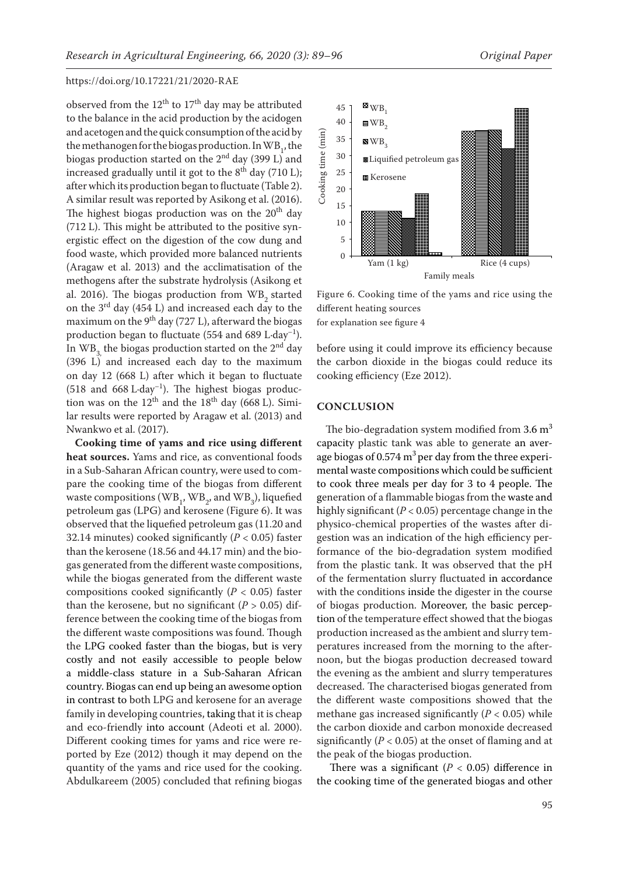observed from the  $12<sup>th</sup>$  to  $17<sup>th</sup>$  day may be attributed to the balance in the acid production by the acidogen and acetogen and the quick consumption of the acid by the methanogen for the biogas production. In  $WB_{1}^{\dagger}$ , the biogas production started on the  $2<sup>nd</sup>$  day (399 L) and increased gradually until it got to the  $8^{th}$  day (710 L); after which its production began to fluctuate (Table 2). A similar result was reported by Asikong et al. (2016). The highest biogas production was on the  $20<sup>th</sup>$  day (712 L). This might be attributed to the positive synergistic effect on the digestion of the cow dung and food waste, which provided more balanced nutrients (Aragaw et al. 2013) and the acclimatisation of the methogens after the substrate hydrolysis (Asikong et al. 2016). The biogas production from  $WB<sub>2</sub>$  started on the 3rd day (454 L) and increased each day to the maximum on the  $9<sup>th</sup>$  day (727 L), afterward the biogas production began to fluctuate (554 and 689 L $\cdot$ day<sup>-1</sup>). In  $WB<sub>2</sub>$ , the biogas production started on the 2<sup>nd</sup> day (396 L) and increased each day to the maximum on day 12 (668 L) after which it began to fluctuate (518 and 668 L·day<sup>-1</sup>). The highest biogas production was on the  $12<sup>th</sup>$  and the  $18<sup>th</sup>$  day (668 L). Similar results were reported by Aragaw et al. (2013) and Nwankwo et al. (2017).

**Cooking time of yams and rice using different heat sources.** Yams and rice, as conventional foods in a Sub-Saharan African country, were used to compare the cooking time of the biogas from different waste compositions ( $WB_{1}$ ,  $WB_{2}$ , and  $WB_{3}$ ), liquefied petroleum gas (LPG) and kerosene (Figure 6). It was observed that the liquefied petroleum gas (11.20 and 32.14 minutes) cooked significantly (*P* < 0.05) faster than the kerosene (18.56 and 44.17 min) and the biogas generated from the different waste compositions, while the biogas generated from the different waste compositions cooked significantly (*P* < 0.05) faster than the kerosene, but no significant ( $P > 0.05$ ) difference between the cooking time of the biogas from the different waste compositions was found. Though the LPG cooked faster than the biogas, but is very costly and not easily accessible to people below a middle-class stature in a Sub-Saharan African country. Biogas can end up being an awesome option in contrast to both LPG and kerosene for an average family in developing countries, taking that it is cheap and eco-friendly into account (Adeoti et al. 2000). Different cooking times for yams and rice were reported by Eze (2012) though it may depend on the quantity of the yams and rice used for the cooking. Abdulkareem (2005) concluded that refining biogas



Figure 6. Cooking time of the yams and rice using the different heating sources **Figure 6: Cooking time of yam and rice using different heating sources. WB1 = 50%**

for explanation see figure 4

before using it could improve its efficiency because the carbon dioxide in the biogas could reduce its cooking efficiency (Eze 2012).

## **CONCLUSION**

The bio-degradation system modified from  $3.6 \text{ m}^3$ capacity plastic tank was able to generate an average biogas of 0.574  $m<sup>3</sup>$  per day from the three experimental waste compositions which could be sufficient to cook three meals per day for 3 to 4 people. The generation of a flammable biogas from the waste and highly significant (*P* < 0.05) percentage change in the physico-chemical properties of the wastes after digestion was an indication of the high efficiency performance of the bio-degradation system modified from the plastic tank. It was observed that the pH of the fermentation slurry fluctuated in accordance with the conditions inside the digester in the course of biogas production. Moreover, the basic perception of the temperature effect showed that the biogas production increased as the ambient and slurry temperatures increased from the morning to the afternoon, but the biogas production decreased toward the evening as the ambient and slurry temperatures decreased. The characterised biogas generated from the different waste compositions showed that the methane gas increased significantly  $(P < 0.05)$  while the carbon dioxide and carbon monoxide decreased significantly  $(P < 0.05)$  at the onset of flaming and at the peak of the biogas production.

There was a significant ( $P < 0.05$ ) difference in the cooking time of the generated biogas and other